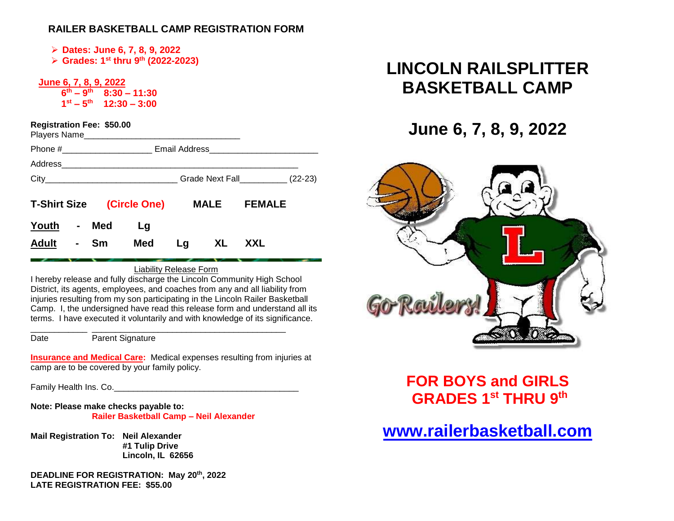### **RAILER BASKETBALL CAMP REGISTRATION FORM**

➢ **Dates: June 6, 7, 8, 9, 2022**

➢ **Grades: 1st thru 9 th (2022-2023)**

 **June 6, 7, 8, 9, 2022 6 th – 9 th 8:30 – 11:30 1**st  $-5$ <sup>th</sup> 12:30 – 3:00

| <b>Registration Fee: \$50.00</b> |                |           | Players Name                     |                         |             |               |
|----------------------------------|----------------|-----------|----------------------------------|-------------------------|-------------|---------------|
|                                  |                |           |                                  |                         |             |               |
|                                  |                |           |                                  |                         |             |               |
|                                  |                |           |                                  | Grade Next Fall (22-23) |             |               |
|                                  |                |           | <b>T-Shirt Size (Circle One)</b> |                         | <b>MALE</b> | <b>FEMALE</b> |
| Youth                            | $\blacksquare$ | Med       | Lg                               |                         |             |               |
| <b>Adult</b>                     | $\blacksquare$ | <b>Sm</b> | Med                              | Lg                      | XI.         | XXI.          |

Liability Release Form

I hereby release and fully discharge the Lincoln Community High School District, its agents, employees, and coaches from any and all liability from injuries resulting from my son participating in the Lincoln Railer Basketball Camp. I, the undersigned have read this release form and understand all its terms. I have executed it voluntarily and with knowledge of its significance.

\_\_\_\_\_\_\_\_\_\_\_\_ \_\_\_\_\_\_\_\_\_\_\_\_\_\_\_\_\_\_\_\_\_\_\_\_\_\_\_\_\_\_\_\_\_\_\_\_\_\_\_\_\_ Date Parent Signature

**Insurance and Medical Care:** Medical expenses resulting from injuries at camp are to be covered by your family policy.

Family Health Ins. Co. **Example 20** For the state of the state of the state of the state of the state of the state of the state of the state of the state of the state of the state of the state of the state of the state of

**Note: Please make checks payable to: Railer Basketball Camp – Neil Alexander**

**Mail Registration To: Neil Alexander #1 Tulip Drive Lincoln, IL 62656**

**DEADLINE FOR REGISTRATION: May 20 th , 2022 LATE REGISTRATION FEE: \$55.00**

# **LINCOLN RAILSPLITTER BASKETBALL CAMP**

# **June 6, 7, 8, 9, 2022**



**FOR BOYS and GIRLS GRADES 1st THRU 9 th**

# **[www.railerbasketball.com](http://www.railerbasketball.org/)**